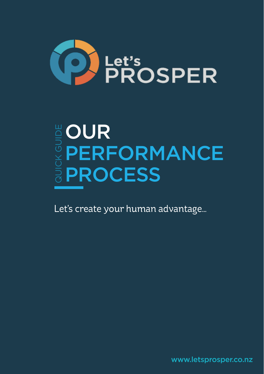

# **BOUR<br>BODERF<br>APROQ** PERFORMANCE PROCESS **Let's PERFORMANC<br>
DERFORMANC<br>
DEROCESS<br>Let's create your human advantage...**

www.letsprosper.co.nz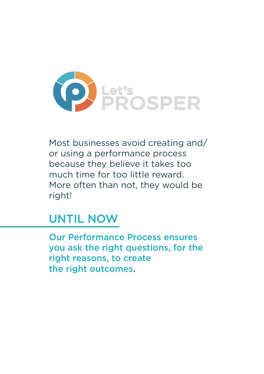

Most businesses avoid creating and/ or using a performance process because they believe it takes too much time for too little reward. More often than not, they would be right!

### UNTIL NOW

Our Performance Process ensures you ask the right questions, for the right reasons, to create the right outcomes.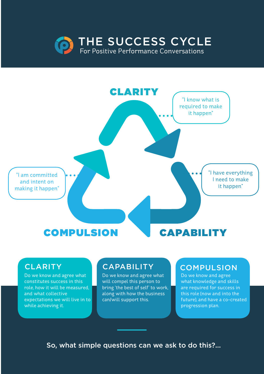



#### **CLARITY**

Do we know and agree what constitutes success in this role, how it will be measured, and what collective expectations we will live in to while achieving it.

#### **CAPABILITY**

Do we know and agree what will compel this person to bring 'the best of self' to work, along with how the business can/will support this.

#### **COMPULSION**

Do we know and agree what knowledge and skills are required for success in this role (now and into the future), and have a co-created progression plan.

So, what simple questions can we ask to do this?...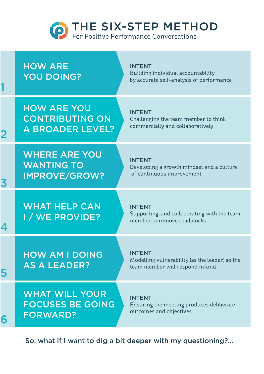

How are YOU DOING?

1

3

4

5

INTENT Building individual accountability by accurate self-analysis of performance

How are you contributing on A BROADER LEVEL?

INTENT Challenging the team member to think commercially and collaboratively

Where are you WANTING TO improve/grow?

INTENT Developing a growth mindset and a culture of continuous improvement

WHAT HELP CAN I / we provide?

INTENT Supporting, and collaborating with the team member to remove roadblocks

How am I doing as a leader?

INTENT Modelling vulnerability (as the leader) so the team member will respond in kind

What will your focuses be going 6 FORWARD?

INTENT Ensuring the meeting produces deliberate outcomes and objectives

So, what if I want to dig a bit deeper with my questioning?...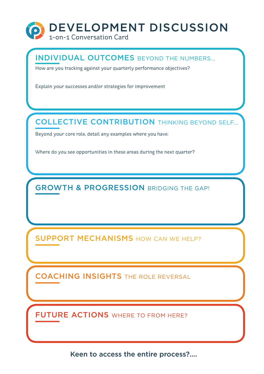

#### INDIVIDUAL OUTCOMES BEYOND THE NUMBERS...

How are you tracking against your quarterly performance objectives?

Explain your successes and/or strategies for improvement

#### COLLECTIVE CONTRIBUTION THINKING BEYOND SELF...

Beyond your core role, detail any examples where you have:

Where do you see opportunities in these areas during the next quarter?

**GROWTH & PROGRESSION BRIDGING THE GAP!** 

SUPPORT MECHANISMS HOW CAN WE HELP?

COACHING INSIGHTS THE ROLE REVERSAL

FUTURE ACTIONS WHERE TO FROM HERE?

Keen to access the entire process?....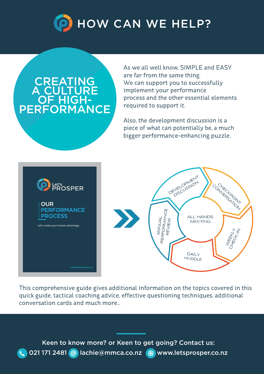

## **CREATING** A\_CU OF HIGH-<br>PERFORMANCE

As we all well know, SIMPLE and EASY are far from the same thing. We can support you to successfully implement your performance process and the other essential elements required to support it.

Also, the development discussion is a piece of what can potentially be, a much bigger performance-enhancing puzzle.





This comprehensive guide gives additional information on the topics covered in this quick guide, tactical coaching advice, effective questioning techniques, additional conversation cards and much more...

Keen to know more? or Keen to get going? Contact us: **t.** 021 171 2481 @ lachie@mmca.co.nz (a) www.letsprosper.co.nz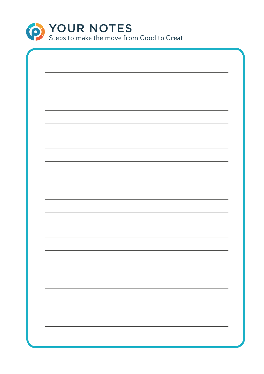